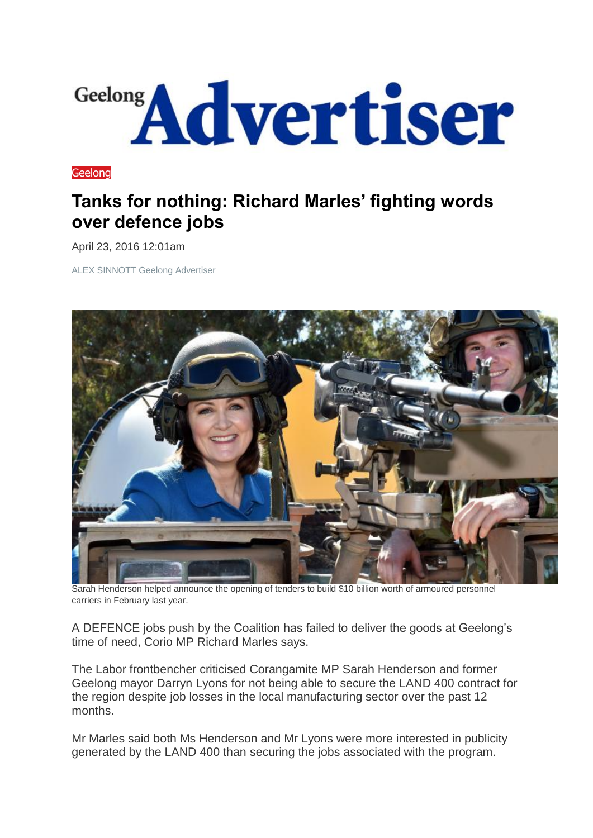

**[Geelong](http://www.geelongadvertiser.com.au/news/geelong)** 

## **Tanks for nothing: Richard Marles' fighting words over defence jobs**

April 23, 2016 12:01am

ALEX SINNOTT Geelong Advertiser



Sarah Henderson helped announce the opening of tenders to build \$10 billion worth of armoured personnel carriers in February last year.

A DEFENCE jobs push by the Coalition has failed to deliver the goods at Geelong's time of need, Corio MP Richard Marles says.

The Labor frontbencher criticised Corangamite MP Sarah Henderson and former Geelong mayor Darryn Lyons for not being able to secure the LAND 400 contract for the region despite job losses in the local manufacturing sector over the past 12 months.

Mr Marles said both Ms Henderson and Mr Lyons were more interested in publicity generated by the LAND 400 than securing the jobs associated with the program.